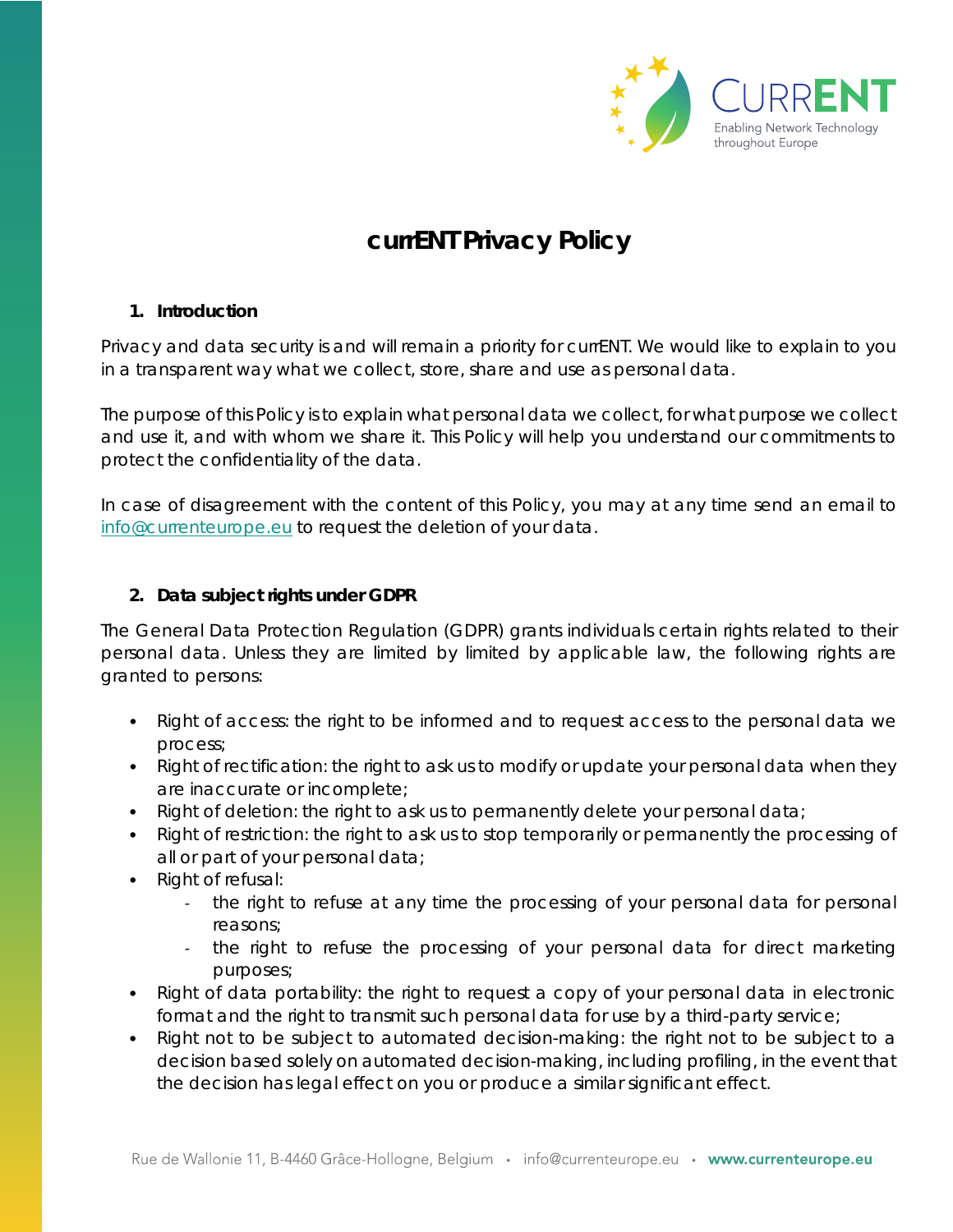

# **currENT Privacy Policy**

## **1. Introduction**

Privacy and data security is and will remain a priority for currENT. We would like to explain to you in a transparent way what we collect, store, share and use as personal data.

The purpose of this Policy is to explain what personal data we collect, for what purpose we collect and use it, and with whom we share it. This Policy will help you understand our commitments to protect the confidentiality of the data.

In case of disagreement with the content of this Policy, you may at any time send an email to [info@currenteurope.eu](mailto:info@currenteurope.eu) to request the deletion of your data.

## **2. [Data subject rights under GDPR](https://www.i-scoop.eu/gdpr/data-subject-rights-gdpr/)**

The General Data Protection Regulation (GDPR) grants individuals certain rights related to their personal data. Unless they are limited by limited by applicable law, the following rights are granted to persons:

- Right of access: the right to be informed and to request access to the personal data we process;
- Right of rectification: the right to ask us to modify or update your personal data when they are inaccurate or incomplete;
- Right of deletion: the right to ask us to permanently delete your personal data;
- Right of restriction: the right to ask us to stop temporarily or permanently the processing of all or part of your personal data;
- Right of refusal:
	- the right to refuse at any time the processing of your personal data for personal reasons;
	- the right to refuse the processing of your personal data for direct marketing purposes;
- Right of data portability: the right to request a copy of your personal data in electronic format and the right to transmit such personal data for use by a third-party service;
- Right not to be subject to automated decision-making: the right not to be subject to a decision based solely on automated decision-making, including profiling, in the event that the decision has legal effect on you or produce a similar significant effect.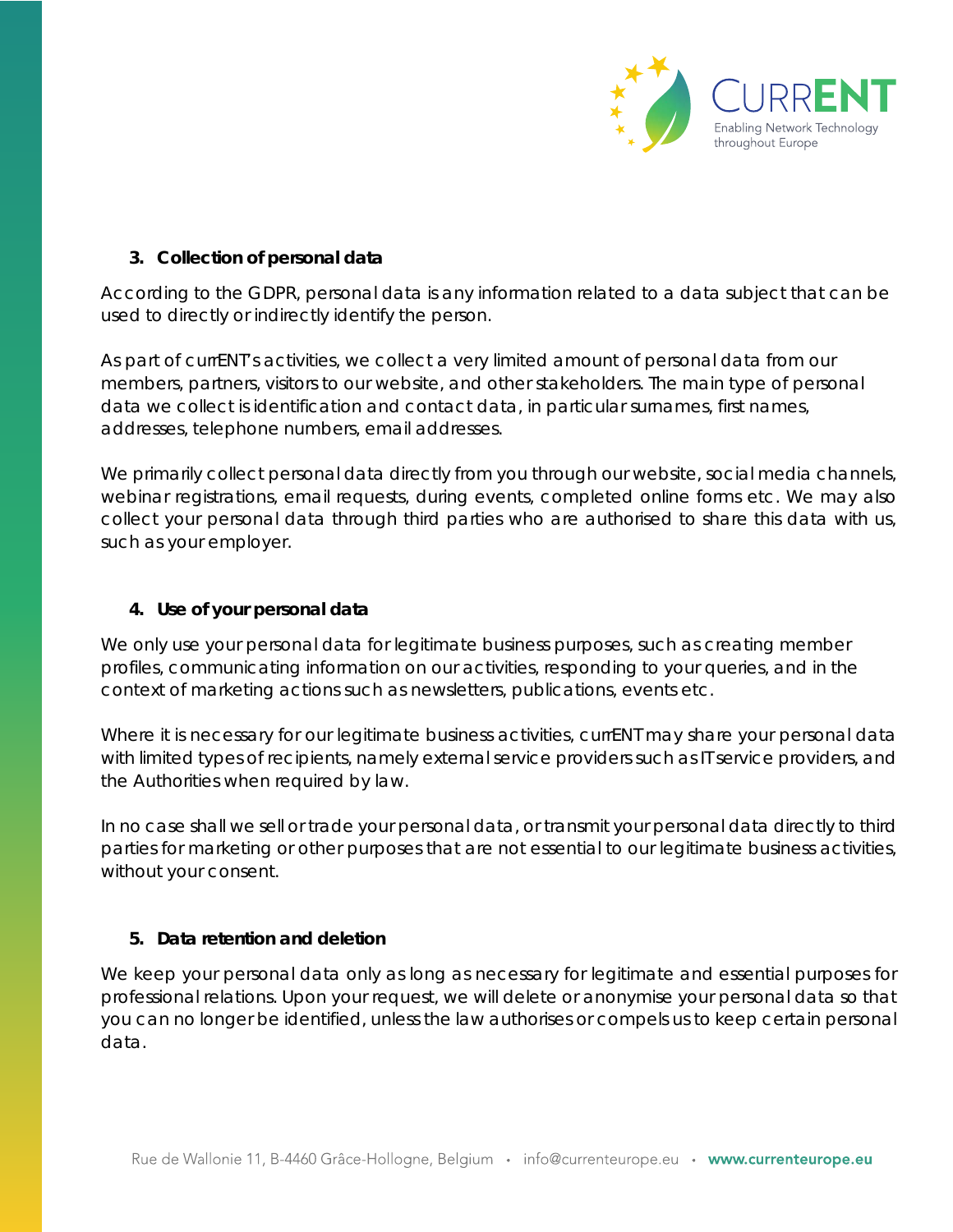

## **3. Collection of personal data**

According to the GDPR, personal data is any information related to a data subject that can be used to directly or indirectly identify the person.

As part of currENT's activities, we collect a very limited amount of personal data from our members, partners, visitors to our website, and other stakeholders. The main type of personal data we collect is identification and contact data, in particular surnames, first names, addresses, telephone numbers, email addresses.

We primarily collect personal data directly from you through our website, social media channels, webinar registrations, email requests, during events, completed online forms etc. We may also collect your personal data through third parties who are authorised to share this data with us, such as your employer.

#### **4. Use of your personal data**

We only use your personal data for legitimate business purposes, such as creating member profiles, communicating information on our activities, responding to your queries, and in the context of marketing actions such as newsletters, publications, events etc.

Where it is necessary for our legitimate business activities, currENT may share your personal data with limited types of recipients, namely external service providers such as IT service providers, and the Authorities when required by law.

In no case shall we sell or trade your personal data, or transmit your personal data directly to third parties for marketing or other purposes that are not essential to our legitimate business activities, without your consent.

## **5. Data retention and deletion**

We keep your personal data only as long as necessary for legitimate and essential purposes for professional relations. Upon your request, we will delete or anonymise your personal data so that you can no longer be identified, unless the law authorises or compels us to keep certain personal data.